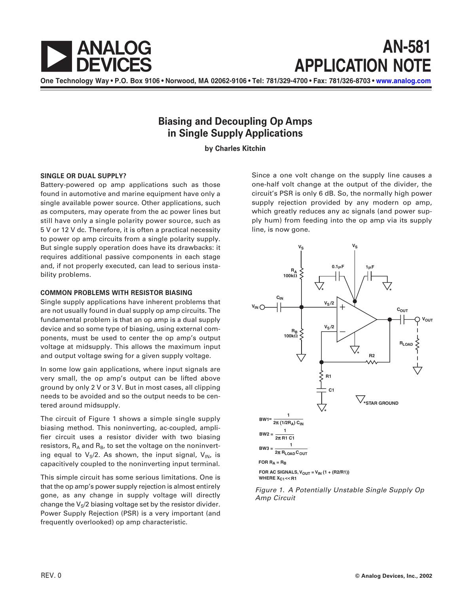

**One Technology Way • P.O. Box 9106 • Norwood, MA 02062-9106 • Tel: 781/329-4700 • Fax: 781/326-8703 • [www.analog.com](http://www.analog.com)**

## **Biasing and Decoupling Op Amps in Single Supply Applications**

**by Charles Kitchin**

### **SINGLE OR DUAL SUPPLY?**

Battery-powered op amp applications such as those found in automotive and marine equipment have only a single available power source. Other applications, such as computers, may operate from the ac power lines but still have only a single polarity power source, such as 5 V or 12 V dc. Therefore, it is often a practical necessity to power op amp circuits from a single polarity supply. But single supply operation does have its drawbacks: it requires additional passive components in each stage and, if not properly executed, can lead to serious instability problems.

### **COMMON PROBLEMS WITH RESISTOR BIASING**

Single supply applications have inherent problems that are not usually found in dual supply op amp circuits. The fundamental problem is that an op amp is a dual supply device and so some type of biasing, using external components, must be used to center the op amp's output voltage at midsupply. This allows the maximum input and output voltage swing for a given supply voltage.

In some low gain applications, where input signals are very small, the op amp's output can be lifted above ground by only 2 V or 3 V. But in most cases, all clipping needs to be avoided and so the output needs to be centered around midsupply.

The circuit of Figure 1 shows a simple single supply biasing method. This noninverting, ac-coupled, amplifier circuit uses a resistor divider with two biasing resistors,  $R_A$  and  $R_B$ , to set the voltage on the noninverting equal to  $V_S/2$ . As shown, the input signal,  $V_{IN}$ , is capacitively coupled to the noninverting input terminal.

This simple circuit has some serious limitations. One is that the op amp's power supply rejection is almost entirely gone, as any change in supply voltage will directly change the  $V_S/2$  biasing voltage set by the resistor divider. Power Supply Rejection (PSR) is a very important (and frequently overlooked) op amp characteristic.

Since a one volt change on the supply line causes a one-half volt change at the output of the divider, the circuit's PSR is only 6 dB. So, the normally high power supply rejection provided by any modern op amp, which greatly reduces any ac signals (and power supply hum) from feeding into the op amp via its supply line, is now gone.



Figure 1. A Potentially Unstable Single Supply Op Amp Circuit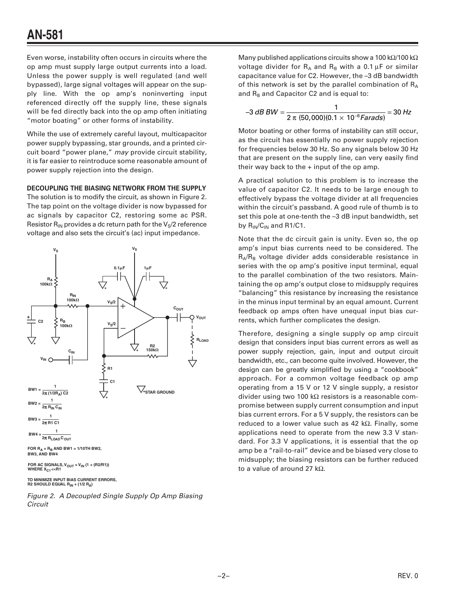Even worse, instability often occurs in circuits where the op amp must supply large output currents into a load. Unless the power supply is well regulated (and well bypassed), large signal voltages will appear on the supply line. With the op amp's noninverting input referenced directly off the supply line, these signals will be fed directly back into the op amp often initiating "motor boating" or other forms of instability.

While the use of extremely careful layout, multicapacitor power supply bypassing, star grounds, and a printed circuit board "power plane," may provide circuit stability, it is far easier to reintroduce some reasonable amount of power supply rejection into the design.

### **DECOUPLING THE BIASING NETWORK FROM THE SUPPLY**

The solution is to modify the circuit, as shown in Figure 2. The tap point on the voltage divider is now bypassed for ac signals by capacitor C2, restoring some ac PSR. Resistor  $R_{IN}$  provides a dc return path for the  $V_S/2$  reference voltage and also sets the circuit's (ac) input impedance.



FOR AC SIGNALS, V<sub>OUT</sub> = V<sub>IN</sub> (1 + (R2/R1))<br>WHERE X<sub>C1</sub><<R1

**TO MINIMIZE INPUT BIAS CURRENT ERRORS, R2 SHOULD EQUAL RIN + (1/2 RA)** 

Figure 2. A Decoupled Single Supply Op Amp Biasing **Circuit** 

Many published applications circuits show a 100 kΩ/100 kΩ voltage divider for  $R_A$  and  $R_B$  with a 0.1 µF or similar capacitance value for C2. However, the –3 dB bandwidth of this network is set by the parallel combination of  $R_A$ and  $R_B$  and Capacitor C2 and is equal to:

$$
-3 dB BW = \frac{1}{2 \pi (50,000)(0.1 \times 10^{-6} \text{Farads})} = 30 Hz
$$

Motor boating or other forms of instability can still occur, as the circuit has essentially no power supply rejection for frequencies below 30 Hz. So any signals below 30 Hz that are present on the supply line, can very easily find their way back to the  $+$  input of the op amp.

A practical solution to this problem is to increase the value of capacitor C2. It needs to be large enough to effectively bypass the voltage divider at all frequencies within the circuit's passband. A good rule of thumb is to set this pole at one-tenth the –3 dB input bandwidth, set by  $R_{IN}/C_{IN}$  and R1/C1.

Note that the dc circuit gain is unity. Even so, the op amp's input bias currents need to be considered. The  $R_A/R_B$  voltage divider adds considerable resistance in series with the op amp's positive input terminal, equal to the parallel combination of the two resistors. Maintaining the op amp's output close to midsupply requires "balancing" this resistance by increasing the resistance in the minus input terminal by an equal amount. Current feedback op amps often have unequal input bias currents, which further complicates the design.

Therefore, designing a single supply op amp circuit design that considers input bias current errors as well as power supply rejection, gain, input and output circuit bandwidth, etc., can become quite involved. However, the design can be greatly simplified by using a "cookbook" approach. For a common voltage feedback op amp operating from a 15 V or 12 V single supply, a resistor divider using two 100 kΩ resistors is a reasonable compromise between supply current consumption and input bias current errors. For a 5 V supply, the resistors can be reduced to a lower value such as 42 kΩ. Finally, some applications need to operate from the new 3.3 V standard. For 3.3 V applications, it is essential that the op amp be a "rail-to-rail" device and be biased very close to midsupply; the biasing resistors can be further reduced to a value of around 27 kΩ.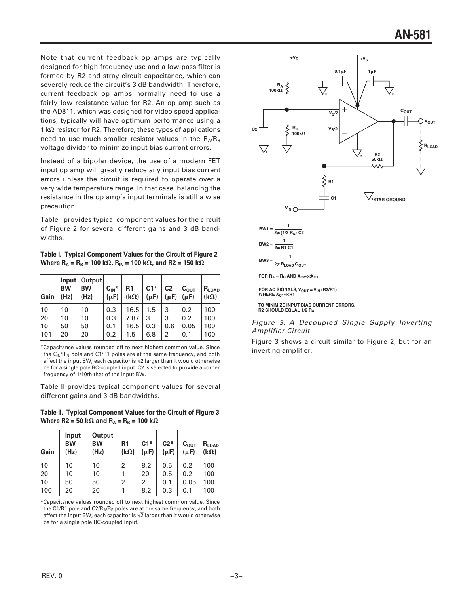Note that current feedback op amps are typically designed for high frequency use and a low-pass filter is formed by R2 and stray circuit capacitance, which can severely reduce the circuit's 3 dB bandwidth. Therefore, current feedback op amps normally need to use a fairly low resistance value for R2. An op amp such as the AD811, which was designed for video speed applications, typically will have optimum performance using a 1 k $\Omega$  resistor for R2. Therefore, these types of applications need to use much smaller resistor values in the  $R_A/R_B$ voltage divider to minimize input bias current errors.

Instead of a bipolar device, the use of a modern FET input op amp will greatly reduce any input bias current errors unless the circuit is required to operate over a very wide temperature range. In that case, balancing the resistance in the op amp's input terminals is still a wise precaution.

Table I provides typical component values for the circuit of Figure 2 for several different gains and 3 dB bandwidths.

**Table I. Typical Component Values for the Circuit of Figure 2** Where  $R_A = R_B = 100 \text{ k}\Omega$ ,  $R_{IN} = 100 \text{ k}\Omega$ , and R2 = 150 k $\Omega$ 

| Gain | lnput<br><b>BW</b><br>(Hz) | Output<br><b>BW</b><br>(Hz) | $C_{IN}^*$<br>$(\mu F)$ | R <sub>1</sub><br>$(k\Omega)$ | $C1*$<br>$(\mu F)$ | C <sub>2</sub><br>$(\mu F)$ | $C_{\text{OUT}}$<br>$(\mu F)$ | $R_{LOAD}$<br>$(k\Omega)$ |
|------|----------------------------|-----------------------------|-------------------------|-------------------------------|--------------------|-----------------------------|-------------------------------|---------------------------|
| 10   | 10                         | 10                          | 0.3                     | 16.5                          | 1.5                | 3                           | 0.2                           | 100                       |
| 20   | 10                         | 10                          | 0.3                     | 7.87                          | 3                  | 3                           | 0.2                           | 100                       |
| 10   | 50                         | 50                          | 0.1                     | 16.5                          | 0.3                | 0.6                         | 0.05                          | 100                       |
| 101  | 20                         | 20                          | 0.2                     | 1.5                           | 6.8                | 2                           | 0.1                           | 100                       |

\*Capacitance values rounded off to next highest common value. Since the  $C_{\text{IN}}/R_{\text{IN}}$  pole and C1/R1 poles are at the same frequency, and both affect the input BW, each capacitor is  $\sqrt{2}$  larger than it would otherwise be for a single pole RC-coupled input. C2 is selected to provide a corner frequency of 1/10th that of the input BW.

Table II provides typical component values for several different gains and 3 dB bandwidths.

### **Table II. Typical Component Values for the Circuit of Figure 3 Where R2 = 50 k** $\Omega$  and  $R_A = R_B$  = 100 k $\Omega$

| Gain | Input<br><b>BW</b><br>(Hz) | Output<br><b>BW</b><br>(Hz) | R <sub>1</sub><br>$(k\Omega)$ | $C1*$<br>$(\mu F)$ | $C2*$<br>$(\mu F)$ | $\mathsf{C}_{\mathsf{OUT}}$<br>$(\mu F)$ | $R_{LOAD}$<br>$(k\Omega)$ |
|------|----------------------------|-----------------------------|-------------------------------|--------------------|--------------------|------------------------------------------|---------------------------|
| 10   | 10                         | 10                          | $\overline{2}$                | 8.2                | 0.5                | 0.2                                      | 100                       |
| 20   | 10                         | 10                          | 1                             | 20                 | 0.5                | 0.2                                      | 100                       |
| 10   | 50                         | 50                          | $\overline{2}$                | 2                  | 0.1                | 0.05                                     | 100                       |
| 100  | 20                         | 20                          | 1                             | 8.2                | 0.3                | 0.1                                      | 100                       |

\*Capacitance values rounded off to next highest common value. Since the C1/R1 pole and C2/ $R_A/R_B$  poles are at the same frequency, and both affect the input BW, each capacitor is  $\sqrt{2}$  larger than it would otherwise be for a single pole RC-coupled input.



**TO MINIMIZE INPUT BIAS CURRENT ERRORS, R2 SHOULD EQUAL 1/2 RA.**

### Figure 3. A Decoupled Single Supply Inverting Amplifier Circuit

Figure 3 shows a circuit similar to Figure 2, but for an inverting amplifier.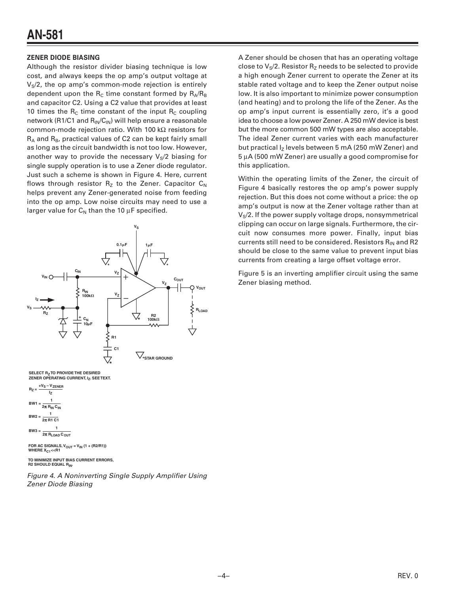# **AN-581**

### **ZENER DIODE BIASING**

Although the resistor divider biasing technique is low cost, and always keeps the op amp's output voltage at  $V<sub>S</sub>/2$ , the op amp's common-mode rejection is entirely dependent upon the  $R_c$  time constant formed by  $R_A/R_B$ and capacitor C2. Using a C2 value that provides at least 10 times the  $R_c$  time constant of the input  $R_c$  coupling network (R1/C1 and  $R_{IN}/C_{IN}$ ) will help ensure a reasonable common-mode rejection ratio. With 100 kΩ resistors for  $R_A$  and  $R_B$ , practical values of C2 can be kept fairly small as long as the circuit bandwidth is not too low. However, another way to provide the necessary  $V_S/2$  biasing for single supply operation is to use a Zener diode regulator. Just such a scheme is shown in Figure 4. Here, current flows through resistor  $R_z$  to the Zener. Capacitor  $C_N$ helps prevent any Zener-generated noise from feeding into the op amp. Low noise circuits may need to use a larger value for  $C_N$  than the 10  $\mu$ F specified.



**SELECT R<sub>7</sub> TO PROVIDE THE DESIRED ZENER OPERATING CURRENT, IZ. SEE TEXT.**

**BW1** =  $\frac{1}{2\pi R_{IN} C_{IN}}$ **BW2 = <sup>1</sup> 2**π **R1 C1 BW3 =**  $\frac{1}{2}$ **2**π **RLOAD COUT**  $R_Z = \frac{+V_S - V_{ZENER}}{I}$ **IZ**

**WHERE X<sub>C1</sub><<R1** FOR AC SIGNALS,  $V_{OUT} = V_{IN} (1 + (R2/R1))$ 

**TO MINIMIZE INPUT BIAS CURRENT ERRORS, R2 SHOULD EQUAL RIN.**

Figure 4. A Noninverting Single Supply Amplifier Using Zener Diode Biasing

A Zener should be chosen that has an operating voltage close to  $V_S/2$ . Resistor  $R_Z$  needs to be selected to provide a high enough Zener current to operate the Zener at its stable rated voltage and to keep the Zener output noise low. It is also important to minimize power consumption (and heating) and to prolong the life of the Zener. As the op amp's input current is essentially zero, it's a good idea to choose a low power Zener. A 250 mW device is best but the more common 500 mW types are also acceptable. The ideal Zener current varies with each manufacturer but practical Iz levels between 5 mA (250 mW Zener) and 5 µA (500 mW Zener) are usually a good compromise for this application.

Within the operating limits of the Zener, the circuit of Figure 4 basically restores the op amp's power supply rejection. But this does not come without a price: the op amp's output is now at the Zener voltage rather than at  $V<sub>S</sub>/2$ . If the power supply voltage drops, nonsymmetrical clipping can occur on large signals. Furthermore, the circuit now consumes more power. Finally, input bias currents still need to be considered. Resistors  $R_{IN}$  and R2 should be close to the same value to prevent input bias currents from creating a large offset voltage error.

Figure 5 is an inverting amplifier circuit using the same Zener biasing method.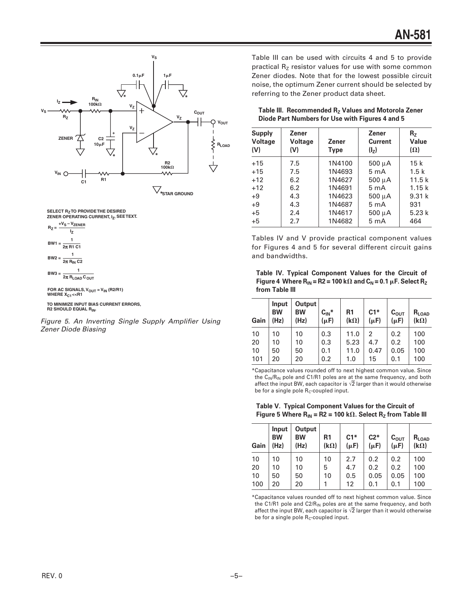

SELECT R<sub>Z</sub> TO PROVIDE THE DESIRED<br>ZENER OPERATING CURRENT, I<sub>Z</sub>. SEE TEXT.



FOR AC SIGNALS, V<sub>OUT</sub> = V<sub>IN</sub> (R2/R1)<br>WHERE X<sub>C1</sub><<R1

**TO MINIMIZE INPUT BIAS CURRENT ERRORS, R2 SHOULD EQUAL RIN.**

Figure 5. An Inverting Single Supply Amplifier Using Zener Diode Biasing

Table III can be used with circuits 4 and 5 to provide practical  $R<sub>z</sub>$  resistor values for use with some common Zener diodes. Note that for the lowest possible circuit noise, the optimum Zener current should be selected by referring to the Zener product data sheet.

| Table III. Recommended R <sub>z</sub> Values and Motorola Zener |  |
|-----------------------------------------------------------------|--|
| Diode Part Numbers for Use with Figures 4 and 5                 |  |

| <b>Supply</b><br><b>Voltage</b><br>(V) | Zener<br>Voltage<br>(V) | <b>Zener</b><br><b>Type</b> | <b>Zener</b><br><b>Current</b><br>(I <sub>z</sub> ) | R <sub>7</sub><br>Value<br>$(\Omega)$ |
|----------------------------------------|-------------------------|-----------------------------|-----------------------------------------------------|---------------------------------------|
| $+15$                                  | 7.5                     | 1N4100                      | $500 \mu A$                                         | 15k                                   |
| $+15$                                  | 7.5                     | 1N4693                      | 5 <sub>m</sub> A                                    | 1.5k                                  |
| $+12$                                  | 6.2                     | 1N4627                      | 500 μΑ                                              | 11.5k                                 |
| $+12$                                  | 6.2                     | 1N4691                      | 5 <sub>m</sub> A                                    | 1.15k                                 |
| $+9$                                   | 4.3                     | 1N4623                      | 500 µA                                              | 9.31k                                 |
| $+9$                                   | 4.3                     | 1N4687                      | 5 <sub>m</sub> A                                    | 931                                   |
| $+5$                                   | 2.4                     | 1N4617                      | 500 µA                                              | 5.23k                                 |
| $+5$                                   | 2.7                     | 1N4682                      | 5 <sub>m</sub> A                                    | 464                                   |

Tables IV and V provide practical component values for Figures 4 and 5 for several different circuit gains and bandwidths.

**Table IV. Typical Component Values for the Circuit of** Figure 4  $\,$  Where R<sub>IN</sub> = R2 = 100 k $\, \Omega \,$  and C<sub>N</sub> = 0.1  $\, \mu$ F. Select R<sub>Z</sub> **from Table III**

| Gain | Input<br><b>BW</b><br>(Hz) | Output<br><b>BW</b><br>(Hz) | $C_{IN}^*$<br>$(\mu F)$ | R1<br>$(k\Omega)$ | $C1*$<br>$(\mu F)$ | $C_{\text{OUT}}$<br>$(\mu F)$ | $R_{LOAD}$<br>$(k\Omega)$ |
|------|----------------------------|-----------------------------|-------------------------|-------------------|--------------------|-------------------------------|---------------------------|
| 10   | 10                         | 10                          | 0.3                     | 11.0              | 2                  | 0.2                           | 100                       |
| 20   | 10                         | 10                          | 0.3                     | 5.23              | 4.7                | 0.2                           | 100                       |
| 10   | 50                         | 50                          | 0.1                     | 11.0              | 0.47               | 0.05                          | 100                       |
| 101  | 20                         | 20                          | 0.2                     | 1.0               | 15                 | 0.1                           | 100                       |

\*Capacitance values rounded off to next highest common value. Since the C<sub>IN</sub>/R<sub>IN</sub> pole and C1/R1 poles are at the same frequency, and both affect the input BW, each capacitor is  $\sqrt{2}$  larger than it would otherwise be for a single pole  $R_C$ -coupled input.

**Table V. Typical Component Values for the Circuit of** Figure 5 Where  $R_{IN}$  = R2 = 100 k $\Omega$ . Select  $R_{Z}$  from Table III

| Gain | Input<br><b>BW</b><br>(Hz) | Output<br><b>BW</b><br>(Hz) | R <sub>1</sub><br>$(k\Omega)$ | $C1*$<br>$(\mu F)$ | $C2*$<br>$(\mu F)$ | $\mathtt{C_{OUT}}$<br>$(\mu F)$ | $R_{\text{LOAD}}$<br>$(k\Omega)$ |
|------|----------------------------|-----------------------------|-------------------------------|--------------------|--------------------|---------------------------------|----------------------------------|
| 10   | 10                         | 10                          | 10                            | 2.7                | 0.2                | 0.2                             | 100                              |
| 20   | 10                         | 10                          | 5                             | 4.7                | 0.2                | 0.2                             | 100                              |
| 10   | 50                         | 50                          | 10                            | 0.5                | 0.05               | 0.05                            | 100                              |
| 100  | 20                         | 20                          |                               | 12                 | 0.1                | 0.1                             | 100                              |

\*Capacitance values rounded off to next highest common value. Since the C1/R1 pole and C2/R<sub>IN</sub> poles are at the same frequency, and both affect the input BW, each capacitor is  $\sqrt{2}$  larger than it would otherwise be for a single pole  $R<sub>C</sub>$ -coupled input.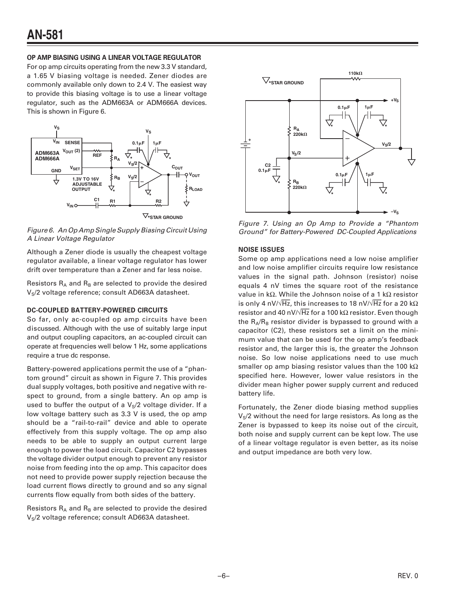### **OP AMP BIASING USING A LINEAR VOLTAGE REGULATOR**

For op amp circuits operating from the new 3.3 V standard, a 1.65 V biasing voltage is needed. Zener diodes are commonly available only down to 2.4 V. The easiest way to provide this biasing voltage is to use a linear voltage regulator, such as the ADM663A or ADM666A devices. This is shown in Figure 6.



Figure 6. An Op Amp Single Supply Biasing Circuit Using A Linear Voltage Regulator

Although a Zener diode is usually the cheapest voltage regulator available, a linear voltage regulator has lower drift over temperature than a Zener and far less noise.

Resistors  $R_A$  and  $R_B$  are selected to provide the desired V<sub>S</sub>/2 voltage reference; consult AD663A datasheet.

### **DC-COUPLED BATTERY-POWERED CIRCUITS**

So far, only ac-coupled op amp circuits have been discussed. Although with the use of suitably large input and output coupling capacitors, an ac-coupled circuit can operate at frequencies well below 1 Hz, some applications require a true dc response.

Battery-powered applications permit the use of a "phantom ground" circuit as shown in Figure 7. This provides dual supply voltages, both positive and negative with respect to ground, from a single battery. An op amp is used to buffer the output of a  $V<sub>S</sub>/2$  voltage divider. If a low voltage battery such as 3.3 V is used, the op amp should be a "rail-to-rail" device and able to operate effectively from this supply voltage. The op amp also needs to be able to supply an output current large enough to power the load circuit. Capacitor C2 bypasses the voltage divider output enough to prevent any resistor noise from feeding into the op amp. This capacitor does not need to provide power supply rejection because the load current flows directly to ground and so any signal currents flow equally from both sides of the battery.

Resistors  $R_A$  and  $R_B$  are selected to provide the desired V<sub>S</sub>/2 voltage reference; consult AD663A datasheet.



Figure 7. Using an Op Amp to Provide a "Phantom Ground" for Battery-Powered DC-Coupled Applications

### **NOISE ISSUES**

Some op amp applications need a low noise amplifier and low noise amplifier circuits require low resistance values in the signal path. Johnson (resistor) noise equals 4 nV times the square root of the resistance value in kΩ. While the Johnson noise of a 1 kΩ resistor is only 4 nV/ $\sqrt{Hz}$ , this increases to 18 nV/ $\sqrt{Hz}$  for a 20 k $\Omega$ resistor and 40 nV/ $\sqrt{Hz}$  for a 100 k $\Omega$  resistor. Even though the  $R_A/R_B$  resistor divider is bypassed to ground with a capacitor (C2), these resistors set a limit on the minimum value that can be used for the op amp's feedback resistor and, the larger this is, the greater the Johnson noise. So low noise applications need to use much smaller op amp biasing resistor values than the 100 k $\Omega$ specified here. However, lower value resistors in the divider mean higher power supply current and reduced battery life.

Fortunately, the Zener diode biasing method supplies  $V<sub>S</sub>/2$  without the need for large resistors. As long as the Zener is bypassed to keep its noise out of the circuit, both noise and supply current can be kept low. The use of a linear voltage regulator is even better, as its noise and output impedance are both very low.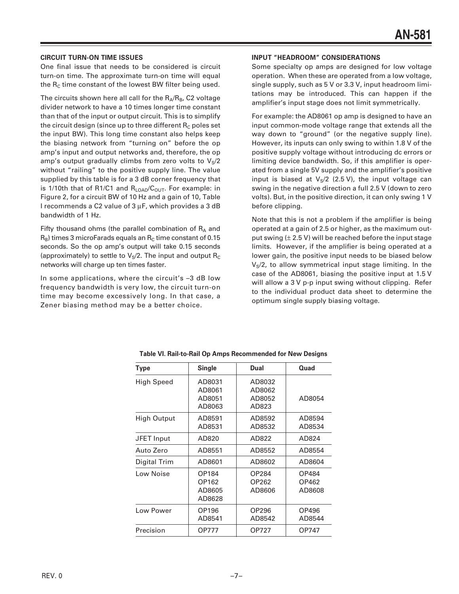### **CIRCUIT TURN-ON TIME ISSUES**

One final issue that needs to be considered is circuit turn-on time. The approximate turn-on time will equal the  $R_c$  time constant of the lowest BW filter being used.

The circuits shown here all call for the  $R_A/R_B$ , C2 voltage divider network to have a 10 times longer time constant than that of the input or output circuit. This is to simplify the circuit design (since up to three different  $R_c$  poles set the input BW). This long time constant also helps keep the biasing network from "turning on" before the op amp's input and output networks and, therefore, the op amp's output gradually climbs from zero volts to  $V_S/2$ without "railing" to the positive supply line. The value supplied by this table is for a 3 dB corner frequency that is 1/10th that of R1/C1 and  $R_{\text{LOAD}}/C_{\text{OUT}}$ . For example: in Figure 2, for a circuit BW of 10 Hz and a gain of 10, Table I recommends a C2 value of 3 µF, which provides a 3 dB bandwidth of 1 Hz.

Fifty thousand ohms (the parallel combination of  $R_A$  and  $R_B$ ) times 3 microFarads equals an  $R_C$  time constant of 0.15 seconds. So the op amp's output will take 0.15 seconds (approximately) to settle to  $V_S/2$ . The input and output  $R_C$ networks will charge up ten times faster.

In some applications, where the circuit's –3 dB low frequency bandwidth is very low, the circuit turn-on time may become excessively long. In that case, a Zener biasing method may be a better choice.

### **INPUT "HEADROOM" CONSIDERATIONS**

Some specialty op amps are designed for low voltage operation. When these are operated from a low voltage, single supply, such as 5 V or 3.3 V, input headroom limitations may be introduced. This can happen if the amplifier's input stage does not limit symmetrically.

For example: the AD8061 op amp is designed to have an input common-mode voltage range that extends all the way down to "ground" (or the negative supply line). However, its inputs can only swing to within 1.8 V of the positive supply voltage without introducing dc errors or limiting device bandwidth. So, if this amplifier is operated from a single 5V supply and the amplifier's positive input is biased at  $V_S/2$  (2.5 V), the input voltage can swing in the negative direction a full 2.5 V (down to zero volts). But, in the positive direction, it can only swing 1 V before clipping.

Note that this is not a problem if the amplifier is being operated at a gain of 2.5 or higher, as the maximum output swing  $(\pm 2.5 \text{ V})$  will be reached before the input stage limits. However, if the amplifier is being operated at a lower gain, the positive input needs to be biased below  $V<sub>S</sub>/2$ , to allow symmetrical input stage limiting. In the case of the AD8061, biasing the positive input at 1.5 V will allow a 3 V p-p input swing without clipping. Refer to the individual product data sheet to determine the optimum single supply biasing voltage.

| Type                | Single                               | Dual                                | Quad                     |
|---------------------|--------------------------------------|-------------------------------------|--------------------------|
| High Speed          | AD8031<br>AD8061<br>AD8051<br>AD8063 | AD8032<br>AD8062<br>AD8052<br>AD823 | AD8054                   |
| High Output         | AD8591<br>AD8531                     | AD8592<br>AD8532                    | AD8594<br>AD8534         |
| JFET Input          | AD820                                | AD822                               | AD824                    |
| Auto Zero           | AD8551                               | AD8552                              | AD8554                   |
| <b>Digital Trim</b> | AD8601                               | AD8602                              | AD8604                   |
| Low Noise           | OP184<br>OP162<br>AD8605<br>AD8628   | OP284<br>OP262<br>AD8606            | OP484<br>OP462<br>AD8608 |
| Low Power           | OP196<br>AD8541                      | OP296<br>AD8542                     | OP496<br>AD8544          |
| Precision           | OP777                                | OP727                               | OP747                    |

**Table VI. Rail-to-Rail Op Amps Recommended for New Designs**